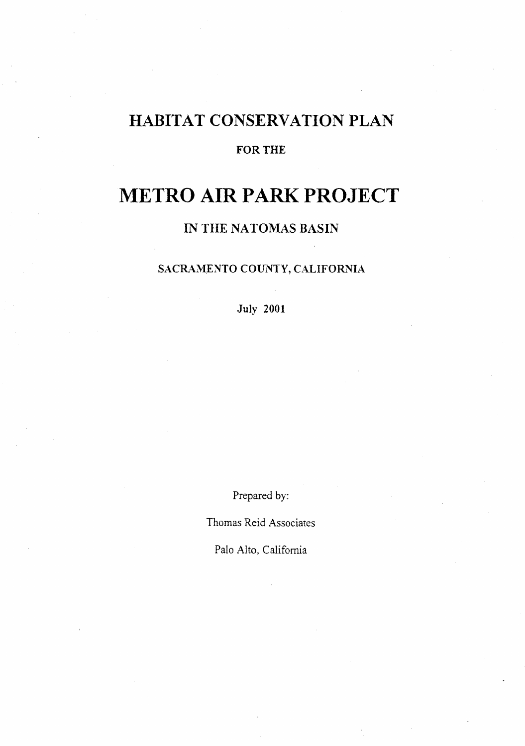## HABITAT CONSERVATION PLAN

#### FOR THE

# **METRO AIR PARK PROJECT**

IN THE NATOMAS BASIN

#### SACRAMENTO COUNTY, CALIFORNIA

July 2001

Prepared by:

Thomas Reid Associates

Palo Alto, California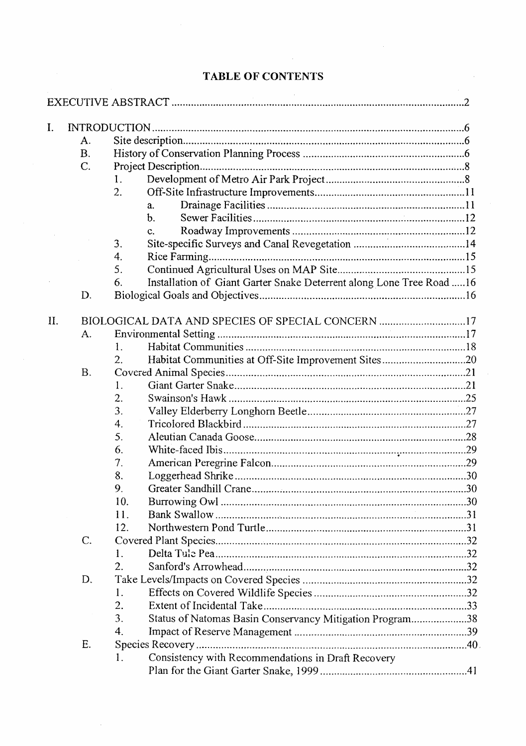| I.  |           |                                                                             |  |  |  |  |  |  |
|-----|-----------|-----------------------------------------------------------------------------|--|--|--|--|--|--|
|     | А.        |                                                                             |  |  |  |  |  |  |
|     | <b>B.</b> |                                                                             |  |  |  |  |  |  |
|     | C.        |                                                                             |  |  |  |  |  |  |
|     |           | 1.                                                                          |  |  |  |  |  |  |
|     |           | 2.                                                                          |  |  |  |  |  |  |
|     |           |                                                                             |  |  |  |  |  |  |
|     |           | a.<br>$\mathbf b$ .                                                         |  |  |  |  |  |  |
|     |           |                                                                             |  |  |  |  |  |  |
|     |           | c.                                                                          |  |  |  |  |  |  |
|     |           | 3.                                                                          |  |  |  |  |  |  |
|     |           | 4.                                                                          |  |  |  |  |  |  |
|     |           | 5.                                                                          |  |  |  |  |  |  |
|     |           | Installation of Giant Garter Snake Deterrent along Lone Tree Road  16<br>6. |  |  |  |  |  |  |
|     | D.        |                                                                             |  |  |  |  |  |  |
| II. |           | BIOLOGICAL DATA AND SPECIES OF SPECIAL CONCERN 17                           |  |  |  |  |  |  |
|     | А.        |                                                                             |  |  |  |  |  |  |
|     |           | 1.                                                                          |  |  |  |  |  |  |
|     |           | Habitat Communities at Off-Site Improvement Sites20<br>2.                   |  |  |  |  |  |  |
|     | <b>B.</b> |                                                                             |  |  |  |  |  |  |
|     |           | 1.                                                                          |  |  |  |  |  |  |
|     |           | 2.                                                                          |  |  |  |  |  |  |
|     |           | 3.                                                                          |  |  |  |  |  |  |
|     |           | 4.                                                                          |  |  |  |  |  |  |
|     |           | 5.                                                                          |  |  |  |  |  |  |
|     |           | 6.                                                                          |  |  |  |  |  |  |
|     |           | 7.                                                                          |  |  |  |  |  |  |
|     |           | 8.                                                                          |  |  |  |  |  |  |
|     |           | 9.                                                                          |  |  |  |  |  |  |
|     |           | 10.                                                                         |  |  |  |  |  |  |
|     |           | 11.                                                                         |  |  |  |  |  |  |
|     |           | 12.                                                                         |  |  |  |  |  |  |
|     | C.        |                                                                             |  |  |  |  |  |  |
|     |           |                                                                             |  |  |  |  |  |  |
|     |           | 1.                                                                          |  |  |  |  |  |  |
|     |           | 2.                                                                          |  |  |  |  |  |  |
|     | D.        |                                                                             |  |  |  |  |  |  |
|     |           | 1.                                                                          |  |  |  |  |  |  |
|     |           | 2.                                                                          |  |  |  |  |  |  |
|     |           | 3.<br>Status of Natomas Basin Conservancy Mitigation Program38              |  |  |  |  |  |  |
|     |           | 4.                                                                          |  |  |  |  |  |  |
|     | Ε.        |                                                                             |  |  |  |  |  |  |
|     |           | Consistency with Recommendations in Draft Recovery<br>1.                    |  |  |  |  |  |  |
|     |           |                                                                             |  |  |  |  |  |  |

### **TABLE OF CONTENTS**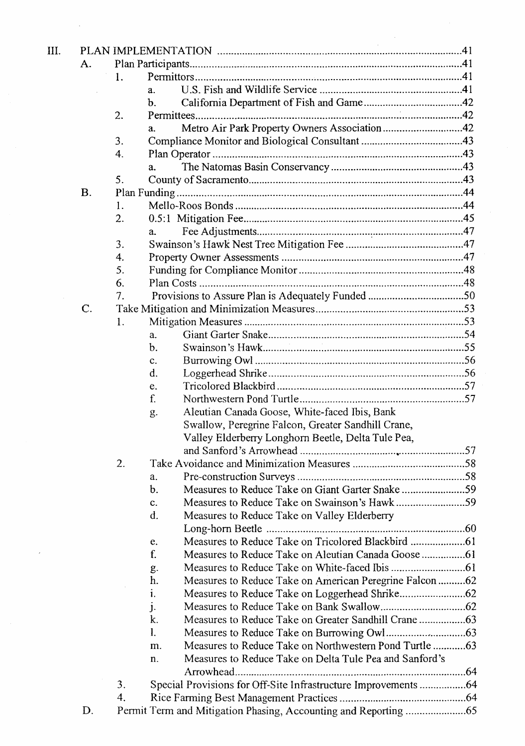| А.              |    |                                                                   |  |
|-----------------|----|-------------------------------------------------------------------|--|
|                 | 1. |                                                                   |  |
|                 |    | a.                                                                |  |
|                 |    | $\mathbf b$ .                                                     |  |
|                 | 2. |                                                                   |  |
|                 |    | Metro Air Park Property Owners Association42<br>a.                |  |
|                 | 3. |                                                                   |  |
|                 | 4. |                                                                   |  |
|                 |    | a.                                                                |  |
|                 | 5. |                                                                   |  |
| <b>B.</b>       |    |                                                                   |  |
|                 | 1. |                                                                   |  |
|                 | 2. |                                                                   |  |
|                 |    | a.                                                                |  |
|                 | 3. |                                                                   |  |
|                 | 4. |                                                                   |  |
|                 | 5. |                                                                   |  |
|                 | 6. |                                                                   |  |
|                 | 7. |                                                                   |  |
| $\mathcal{C}$ . |    |                                                                   |  |
|                 | 1. |                                                                   |  |
|                 |    | a.                                                                |  |
|                 |    | b.                                                                |  |
|                 |    | c.                                                                |  |
|                 |    | d.                                                                |  |
|                 |    | e.                                                                |  |
|                 |    | f.                                                                |  |
|                 |    | Aleutian Canada Goose, White-faced Ibis, Bank<br>g.               |  |
|                 |    | Swallow, Peregrine Falcon, Greater Sandhill Crane,                |  |
|                 |    | Valley Elderberry Longhorn Beetle, Delta Tule Pea,                |  |
|                 |    |                                                                   |  |
|                 | 2. |                                                                   |  |
|                 |    | a.                                                                |  |
|                 |    | Measures to Reduce Take on Giant Garter Snake 59<br>$\mathbf b$ . |  |
|                 |    |                                                                   |  |
|                 |    | c.<br>d.<br>Measures to Reduce Take on Valley Elderberry          |  |
|                 |    |                                                                   |  |
|                 |    |                                                                   |  |
|                 |    | e.                                                                |  |
|                 |    | f.                                                                |  |
|                 |    | g.                                                                |  |
|                 |    | Measures to Reduce Take on American Peregrine Falcon  62<br>h.    |  |
|                 |    | i.                                                                |  |
|                 |    | J.                                                                |  |
|                 |    | k.                                                                |  |
|                 |    | 1.                                                                |  |
|                 |    | Measures to Reduce Take on Northwestern Pond Turtle 63<br>m.      |  |
|                 |    | Measures to Reduce Take on Delta Tule Pea and Sanford's<br>n.     |  |
|                 |    |                                                                   |  |
|                 | 3. | Special Provisions for Off-Site Infrastructure Improvements 64    |  |
|                 | 4. |                                                                   |  |
|                 |    |                                                                   |  |

 $\bar{\boldsymbol{\beta}}$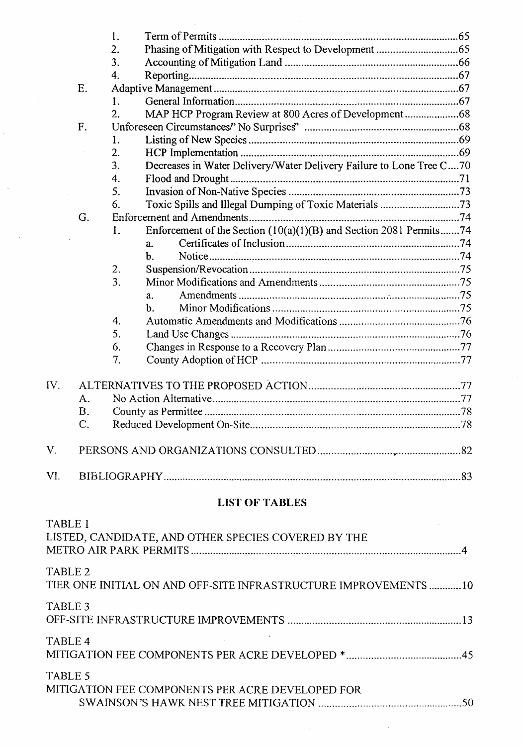|                    |    | 1.               |                                                                     |     |
|--------------------|----|------------------|---------------------------------------------------------------------|-----|
|                    |    | 2.               |                                                                     |     |
|                    |    | 3.               |                                                                     |     |
|                    |    | 4.               |                                                                     |     |
|                    | E. |                  |                                                                     |     |
|                    |    | 1.               |                                                                     |     |
|                    |    | $\overline{2}$ . |                                                                     |     |
|                    | F. |                  |                                                                     |     |
|                    |    | 1.               |                                                                     |     |
|                    |    | 2.               |                                                                     |     |
|                    |    | 3.               | Decreases in Water Delivery/Water Delivery Failure to Lone Tree C70 |     |
|                    |    | 4.               |                                                                     |     |
|                    |    | 5.               |                                                                     |     |
|                    |    | 6.               | Toxic Spills and Illegal Dumping of Toxic Materials 73              |     |
|                    | G. |                  |                                                                     |     |
|                    |    | l.               | Enforcement of the Section (10(a)(1)(B) and Section 2081 Permits74  |     |
|                    |    |                  | a <sub>z</sub>                                                      |     |
|                    |    |                  | b.                                                                  |     |
|                    |    | 2.               |                                                                     |     |
|                    |    | 3.               |                                                                     |     |
|                    |    |                  | a.                                                                  |     |
|                    |    |                  | b.                                                                  |     |
|                    |    | 4.               |                                                                     |     |
|                    |    | 5.               |                                                                     |     |
|                    |    | 6.               |                                                                     |     |
|                    |    | 7.               |                                                                     |     |
|                    |    |                  |                                                                     |     |
| IV.                |    |                  |                                                                     |     |
|                    | Α. |                  |                                                                     |     |
|                    | Β. |                  |                                                                     |     |
|                    | C. |                  |                                                                     |     |
| $\mathbf{V}$       |    |                  | PERSONS AND ORGANIZATIONS CONSULTED.                                | .82 |
|                    |    |                  |                                                                     |     |
|                    |    |                  |                                                                     |     |
|                    |    |                  | <b>LIST OF TABLES</b>                                               |     |
| TABLE <sub>1</sub> |    |                  |                                                                     |     |
|                    |    |                  | LISTED, CANDIDATE, AND OTHER SPECIES COVERED BY THE                 |     |
|                    |    |                  |                                                                     |     |
|                    |    |                  |                                                                     |     |
| TABLE <sub>2</sub> |    |                  | TIER ONE INITIAL ON AND OFF-SITE INFRASTRUCTURE IMPROVEMENTS 10     |     |
| TABLE <sub>3</sub> |    |                  |                                                                     |     |
|                    |    |                  |                                                                     |     |
| TABLE <sub>4</sub> |    |                  |                                                                     |     |
|                    |    |                  |                                                                     |     |
| TABLE 5            |    |                  |                                                                     |     |

MITIGATION FEE COMPONENTS PER ACRE DEVELOPED FOR SWAINSON'S HA WK NEST TREE MITIGATION ................................. .